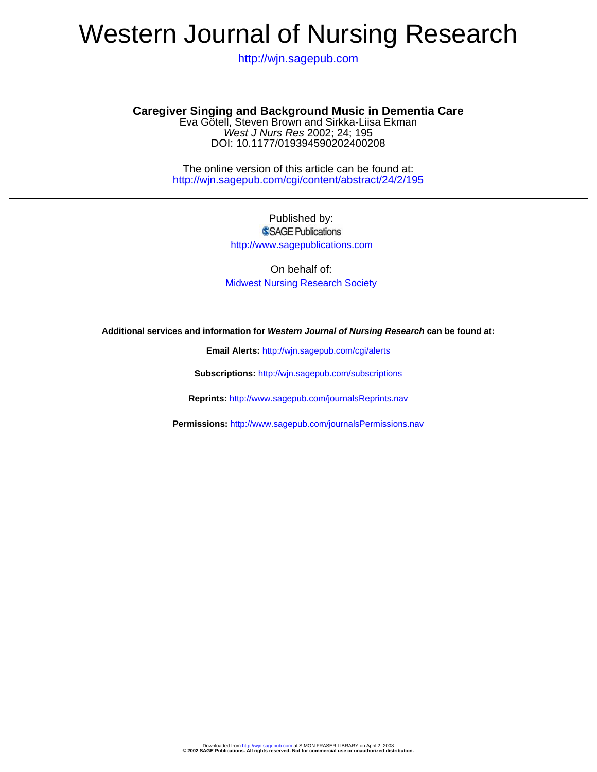# Western Journal of Nursing Research

http://wjn.sagepub.com

## **Caregiver Singing and Background Music in Dementia Care**

DOI: 10.1177/019394590202400208 West J Nurs Res 2002; 24; 195 Eva Götell, Steven Brown and Sirkka-Liisa Ekman

http://wjn.sagepub.com/cgi/content/abstract/24/2/195 The online version of this article can be found at:

> Published by: SSAGE Publications http://www.sagepublications.com

On behalf of: [Midwest Nursing Research Society](http://www.mnrs.org)

**Additional services and information for Western Journal of Nursing Research can be found at:**

**Email Alerts:** <http://wjn.sagepub.com/cgi/alerts>

**Subscriptions:** <http://wjn.sagepub.com/subscriptions>

**Reprints:** <http://www.sagepub.com/journalsReprints.nav>

**Permissions:** <http://www.sagepub.com/journalsPermissions.nav>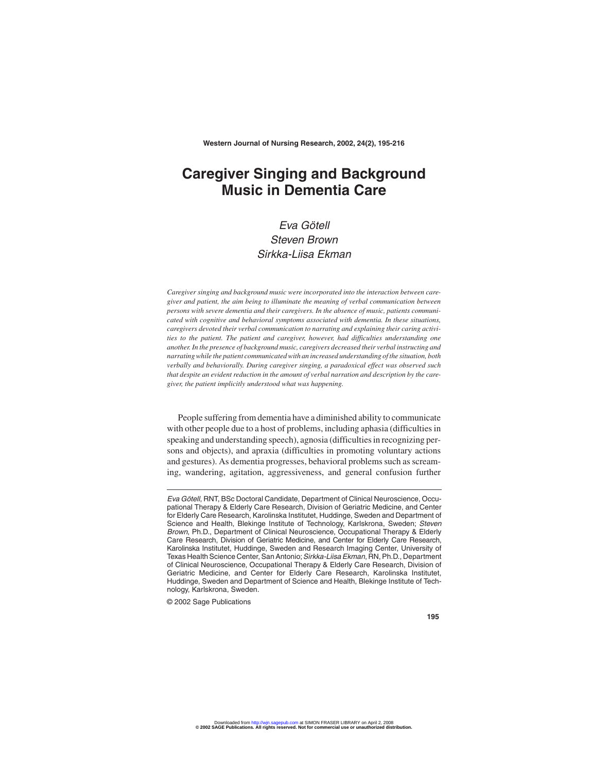# **Caregiver Singing and Background Music in Dementia Care**

# *Eva Götell Steven Brown Sirkka-Liisa Ekman*

*Caregiver singing and background music were incorporated into the interaction between caregiver and patient, the aim being to illuminate the meaning of verbal communication between persons with severe dementia and their caregivers. In the absence of music, patients communicated with cognitive and behavioral symptoms associated with dementia. In these situations, caregivers devoted their verbal communication to narrating and explaining their caring activities to the patient. The patient and caregiver, however, had difficulties understanding one another. In the presence of background music, caregivers decreased their verbal instructing and narrating while the patient communicated with an increased understanding of the situation, both verbally and behaviorally. During caregiver singing, a paradoxical effect was observed such that despite an evident reduction in the amount of verbal narration and description by the caregiver, the patient implicitly understood what was happening.*

People suffering from dementia have a diminished ability to communicate with other people due to a host of problems, including aphasia (difficulties in speaking and understanding speech), agnosia (difficulties in recognizing persons and objects), and apraxia (difficulties in promoting voluntary actions and gestures). As dementia progresses, behavioral problems such as screaming, wandering, agitation, aggressiveness, and general confusion further

*© 2002 Sage Publications*

*Eva Götell, RNT, BSc Doctoral Candidate, Department of Clinical Neuroscience, Occupational Therapy & Elderly Care Research, Division of Geriatric Medicine, and Center for Elderly Care Research, Karolinska Institutet, Huddinge, Sweden and Department of Science and Health, Blekinge Institute of Technology, Karlskrona, Sweden; Steven Brown, Ph.D., Department of Clinical Neuroscience, Occupational Therapy & Elderly Care Research, Division of Geriatric Medicine, and Center for Elderly Care Research, Karolinska Institutet, Huddinge, Sweden and Research Imaging Center, University of Texas Health Science Center, San Antonio;Sirkka-Liisa Ekman, RN, Ph.D., Department of Clinical Neuroscience, Occupational Therapy & Elderly Care Research, Division of Geriatric Medicine, and Center for Elderly Care Research, Karolinska Institutet, Huddinge, Sweden and Department of Science and Health, Blekinge Institute of Technology, Karlskrona, Sweden.*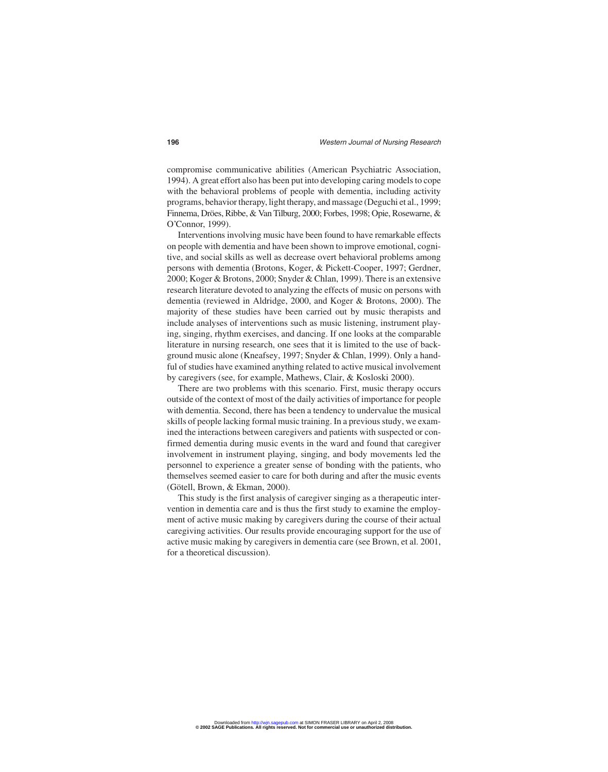compromise communicative abilities (American Psychiatric Association, 1994). A great effort also has been put into developing caring models to cope with the behavioral problems of people with dementia, including activity programs, behavior therapy, light therapy, and massage (Deguchi et al., 1999; Finnema, Dröes, Ribbe, & Van Tilburg, 2000; Forbes, 1998; Opie, Rosewarne, & O'Connor, 1999).

Interventions involving music have been found to have remarkable effects on people with dementia and have been shown to improve emotional, cognitive, and social skills as well as decrease overt behavioral problems among persons with dementia (Brotons, Koger, & Pickett-Cooper, 1997; Gerdner, 2000; Koger & Brotons, 2000; Snyder & Chlan, 1999). There is an extensive research literature devoted to analyzing the effects of music on persons with dementia (reviewed in Aldridge, 2000, and Koger & Brotons, 2000). The majority of these studies have been carried out by music therapists and include analyses of interventions such as music listening, instrument playing, singing, rhythm exercises, and dancing. If one looks at the comparable literature in nursing research, one sees that it is limited to the use of background music alone (Kneafsey, 1997; Snyder & Chlan, 1999). Only a handful of studies have examined anything related to active musical involvement by caregivers (see, for example, Mathews, Clair, & Kosloski 2000).

There are two problems with this scenario. First, music therapy occurs outside of the context of most of the daily activities of importance for people with dementia. Second, there has been a tendency to undervalue the musical skills of people lacking formal music training. In a previous study, we examined the interactions between caregivers and patients with suspected or confirmed dementia during music events in the ward and found that caregiver involvement in instrument playing, singing, and body movements led the personnel to experience a greater sense of bonding with the patients, who themselves seemed easier to care for both during and after the music events (Götell, Brown, & Ekman, 2000).

This study is the first analysis of caregiver singing as a therapeutic intervention in dementia care and is thus the first study to examine the employment of active music making by caregivers during the course of their actual caregiving activities. Our results provide encouraging support for the use of active music making by caregivers in dementia care (see Brown, et al. 2001, for a theoretical discussion).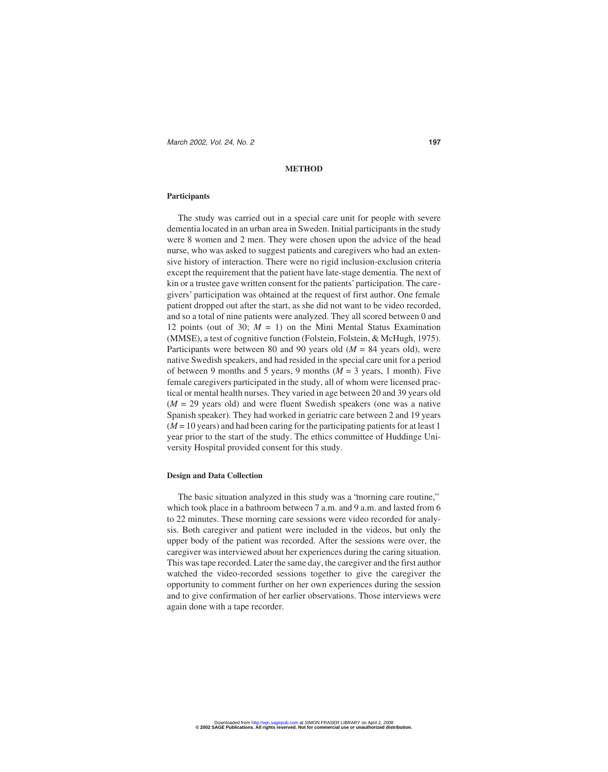#### **METHOD**

#### **Participants**

The study was carried out in a special care unit for people with severe dementia located in an urban area in Sweden. Initial participants in the study were 8 women and 2 men. They were chosen upon the advice of the head nurse, who was asked to suggest patients and caregivers who had an extensive history of interaction. There were no rigid inclusion-exclusion criteria except the requirement that the patient have late-stage dementia. The next of kin or a trustee gave written consent for the patients' participation. The caregivers' participation was obtained at the request of first author. One female patient dropped out after the start, as she did not want to be video recorded, and so a total of nine patients were analyzed. They all scored between 0 and 12 points (out of 30; *M* = 1) on the Mini Mental Status Examination (MMSE), a test of cognitive function (Folstein, Folstein, & McHugh, 1975). Participants were between 80 and 90 years old (*M* = 84 years old), were native Swedish speakers, and had resided in the special care unit for a period of between 9 months and 5 years, 9 months  $(M = 3$  years, 1 month). Five female caregivers participated in the study, all of whom were licensed practical or mental health nurses. They varied in age between 20 and 39 years old  $(M = 29$  years old) and were fluent Swedish speakers (one was a native Spanish speaker). They had worked in geriatric care between 2 and 19 years (*M* = 10 years) and had been caring for the participating patients for at least 1 year prior to the start of the study. The ethics committee of Huddinge University Hospital provided consent for this study.

#### **Design and Data Collection**

The basic situation analyzed in this study was a "morning care routine," which took place in a bathroom between 7 a.m. and 9 a.m. and lasted from 6 to 22 minutes. These morning care sessions were video recorded for analysis. Both caregiver and patient were included in the videos, but only the upper body of the patient was recorded. After the sessions were over, the caregiver was interviewed about her experiences during the caring situation. This was tape recorded. Later the same day, the caregiver and the first author watched the video-recorded sessions together to give the caregiver the opportunity to comment further on her own experiences during the session and to give confirmation of her earlier observations. Those interviews were again done with a tape recorder.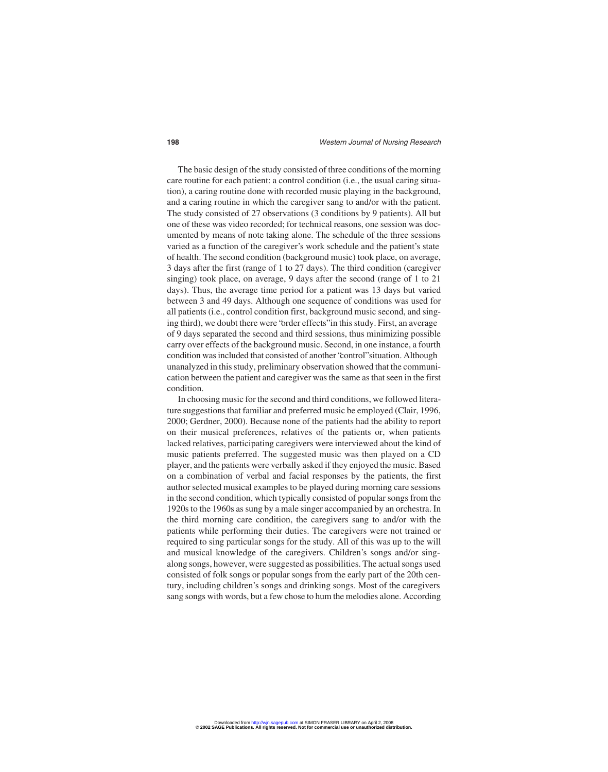#### **198** *Western Journal of Nursing Research*

The basic design of the study consisted of three conditions of the morning care routine for each patient: a control condition (i.e., the usual caring situation), a caring routine done with recorded music playing in the background, and a caring routine in which the caregiver sang to and/or with the patient. The study consisted of 27 observations (3 conditions by 9 patients). All but one of these was video recorded; for technical reasons, one session was documented by means of note taking alone. The schedule of the three sessions varied as a function of the caregiver's work schedule and the patient's state of health. The second condition (background music) took place, on average, 3 days after the first (range of 1 to 27 days). The third condition (caregiver singing) took place, on average, 9 days after the second (range of 1 to 21 days). Thus, the average time period for a patient was 13 days but varied between 3 and 49 days. Although one sequence of conditions was used for all patients (i.e., control condition first, background music second, and singing third), we doubt there were "order effects" in this study. First, an average of 9 days separated the second and third sessions, thus minimizing possible carry over effects of the background music. Second, in one instance, a fourth condition was included that consisted of another "control" situation. Although unanalyzed in this study, preliminary observation showed that the communication between the patient and caregiver was the same as that seen in the first condition.

In choosing music for the second and third conditions, we followed literature suggestions that familiar and preferred music be employed (Clair, 1996, 2000; Gerdner, 2000). Because none of the patients had the ability to report on their musical preferences, relatives of the patients or, when patients lacked relatives, participating caregivers were interviewed about the kind of music patients preferred. The suggested music was then played on a CD player, and the patients were verbally asked if they enjoyed the music. Based on a combination of verbal and facial responses by the patients, the first author selected musical examples to be played during morning care sessions in the second condition, which typically consisted of popular songs from the 1920s to the 1960s as sung by a male singer accompanied by an orchestra. In the third morning care condition, the caregivers sang to and/or with the patients while performing their duties. The caregivers were not trained or required to sing particular songs for the study. All of this was up to the will and musical knowledge of the caregivers. Children's songs and/or singalong songs, however, were suggested as possibilities. The actual songs used consisted of folk songs or popular songs from the early part of the 20th century, including children's songs and drinking songs. Most of the caregivers sang songs with words, but a few chose to hum the melodies alone. According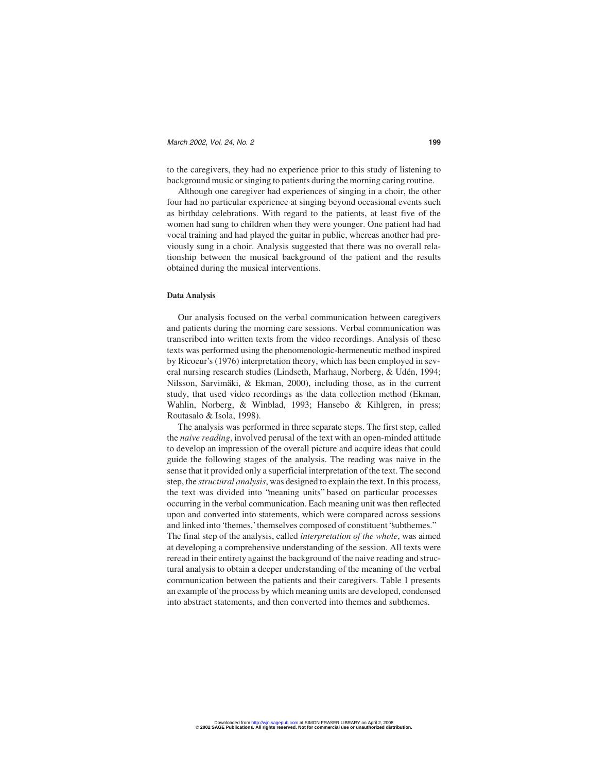to the caregivers, they had no experience prior to this study of listening to background music or singing to patients during the morning caring routine.

Although one caregiver had experiences of singing in a choir, the other four had no particular experience at singing beyond occasional events such as birthday celebrations. With regard to the patients, at least five of the women had sung to children when they were younger. One patient had had vocal training and had played the guitar in public, whereas another had previously sung in a choir. Analysis suggested that there was no overall relationship between the musical background of the patient and the results obtained during the musical interventions.

#### **Data Analysis**

Our analysis focused on the verbal communication between caregivers and patients during the morning care sessions. Verbal communication was transcribed into written texts from the video recordings. Analysis of these texts was performed using the phenomenologic-hermeneutic method inspired by Ricoeur's (1976) interpretation theory, which has been employed in several nursing research studies (Lindseth, Marhaug, Norberg, & Udén, 1994; Nilsson, Sarvimäki, & Ekman, 2000), including those, as in the current study, that used video recordings as the data collection method (Ekman, Wahlin, Norberg, & Winblad, 1993; Hansebo & Kihlgren, in press; Routasalo & Isola, 1998).

The analysis was performed in three separate steps. The first step, called the *naive reading*, involved perusal of the text with an open-minded attitude to develop an impression of the overall picture and acquire ideas that could guide the following stages of the analysis. The reading was naive in the sense that it provided only a superficial interpretation of the text. The second step, the *structural analysis*, was designed to explain the text. In this process, the text was divided into "meaning units" based on particular processes occurring in the verbal communication. Each meaning unit was then reflected upon and converted into statements, which were compared across sessions and linked into "themes,' themselves composed of constituent "subthemes." The final step of the analysis, called *interpretation of the whole*, was aimed at developing a comprehensive understanding of the session. All texts were reread in their entirety against the background of the naive reading and structural analysis to obtain a deeper understanding of the meaning of the verbal communication between the patients and their caregivers. Table 1 presents an example of the process by which meaning units are developed, condensed into abstract statements, and then converted into themes and subthemes.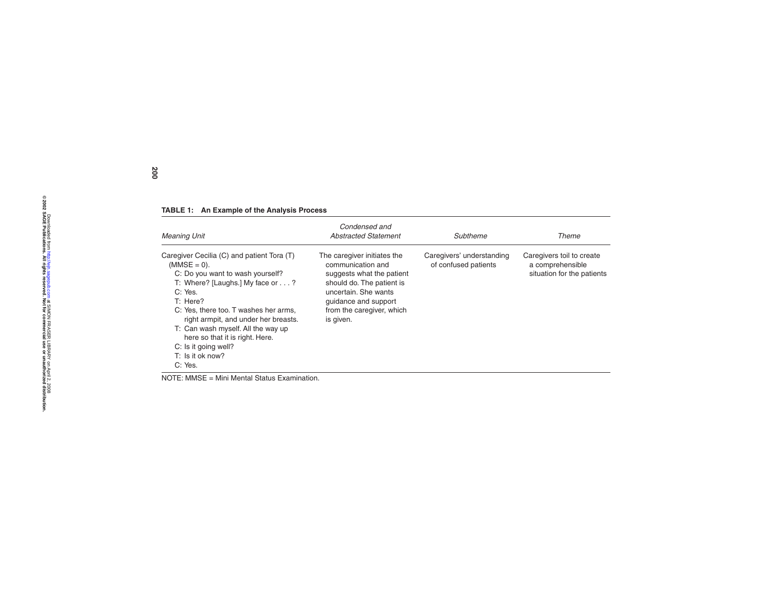#### **TABLE 1: An Example of the Analysis Process**

| <b>Meaning Unit</b>                                                                                                                                                                                                                                                                                                                                                          | Condensed and<br><b>Abstracted Statement</b>                                                                                                                                                         | Subtheme                                          | Theme                                                                       |
|------------------------------------------------------------------------------------------------------------------------------------------------------------------------------------------------------------------------------------------------------------------------------------------------------------------------------------------------------------------------------|------------------------------------------------------------------------------------------------------------------------------------------------------------------------------------------------------|---------------------------------------------------|-----------------------------------------------------------------------------|
| Caregiver Cecilia (C) and patient Tora (T)<br>$(MMSE = 0)$ .<br>C: Do you want to wash yourself?<br>T: Where? [Laughs.] My face or ?<br>C: Yes.<br>T: Here?<br>C: Yes, there too. T washes her arms,<br>right armpit, and under her breasts.<br>T: Can wash myself. All the way up<br>here so that it is right. Here.<br>C: Is it going well?<br>T: Is it ok now?<br>C: Yes. | The caregiver initiates the<br>communication and<br>suggests what the patient<br>should do. The patient is<br>uncertain. She wants<br>quidance and support<br>from the caregiver, which<br>is given. | Caregivers' understanding<br>of confused patients | Caregivers toil to create<br>a comprehensible<br>situation for the patients |

*NOTE: MMSE = Mini Mental Status Examination.*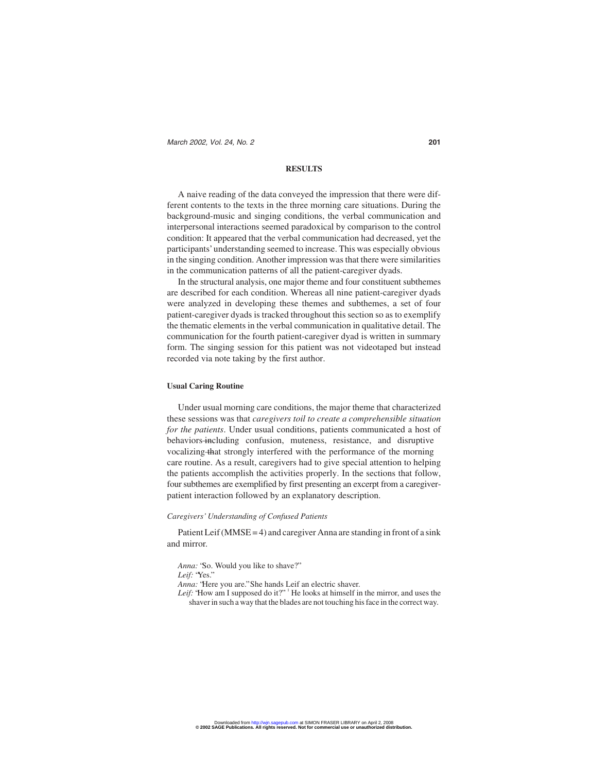### **RESULTS**

A naive reading of the data conveyed the impression that there were different contents to the texts in the three morning care situations. During the background-music and singing conditions, the verbal communication and interpersonal interactions seemed paradoxical by comparison to the control condition: It appeared that the verbal communication had decreased, yet the participants' understanding seemed to increase. This was especially obvious in the singing condition. Another impression was that there were similarities in the communication patterns of all the patient-caregiver dyads.

In the structural analysis, one major theme and four constituent subthemes are described for each condition. Whereas all nine patient-caregiver dyads were analyzed in developing these themes and subthemes, a set of four patient-caregiver dyads is tracked throughout this section so as to exemplify the thematic elements in the verbal communication in qualitative detail. The communication for the fourth patient-caregiver dyad is written in summary form. The singing session for this patient was not videotaped but instead recorded via note taking by the first author.

### **Usual Caring Routine**

Under usual morning care conditions, the major theme that characterized these sessions was that *caregivers toil to create a comprehensible situation for the patients*. Under usual conditions, patients communicated a host of behaviors—including confusion, muteness, resistance, and disruptive vocalizing—that strongly interfered with the performance of the morning care routine. As a result, caregivers had to give special attention to helping the patients accomplish the activities properly. In the sections that follow, four subthemes are exemplified by first presenting an excerpt from a caregiverpatient interaction followed by an explanatory description.

#### *Caregivers' Understanding of Confused Patients*

Patient Leif ( $MMSE = 4$ ) and caregiver Anna are standing in front of a sink and mirror.

*Anna:* "So. Would you like to shave?" *Leif:* "Yes." *Anna:* "Here you are." She hands Leif an electric shaver. Leif: 'How am I supposed do it?'' <sup>1</sup> He looks at himself in the mirror, and uses the shaver in such a way that the blades are not touching his face in the correct way.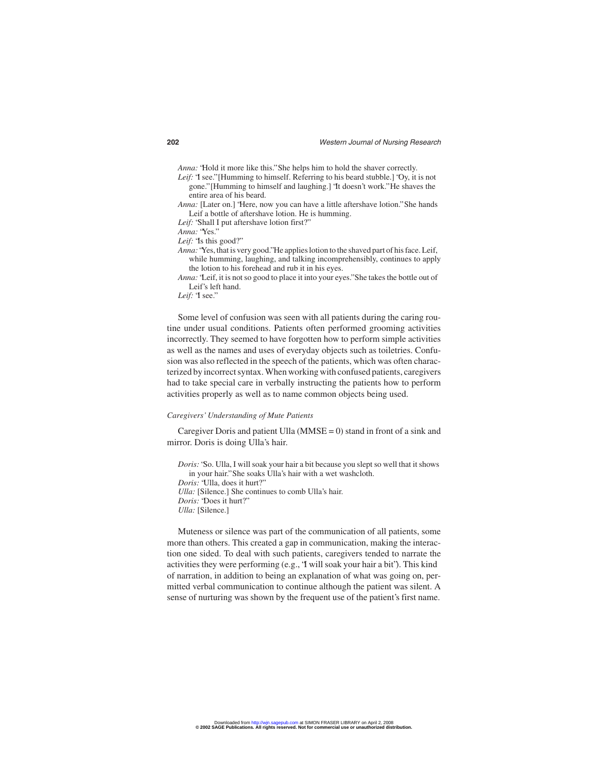*Anna:* "Hold it more like this." She helps him to hold the shaver correctly.

- Leif: 'I see." [Humming to himself. Referring to his beard stubble.] 'Oy, it is not gone." [Humming to himself and laughing.] "It doesn't work." He shaves the entire area of his beard.
- *Anna:* [Later on.] "Here, now you can have a little aftershave lotion." She hands Leif a bottle of aftershave lotion. He is humming.

*Leif:* "Shall I put aftershave lotion first?"

*Anna:* "Yes."

*Leif:* "Is this good?"

*Anna:* "Yes, that is very good." He applies lotion to the shaved part of his face. Leif, while humming, laughing, and talking incomprehensibly, continues to apply the lotion to his forehead and rub it in his eyes.

*Anna:* "Leif, it is not so good to place it into your eyes." She takes the bottle out of Leif's left hand.

*Leif:* "I see."

Some level of confusion was seen with all patients during the caring routine under usual conditions. Patients often performed grooming activities incorrectly. They seemed to have forgotten how to perform simple activities as well as the names and uses of everyday objects such as toiletries. Confusion was also reflected in the speech of the patients, which was often characterized by incorrect syntax. When working with confused patients, caregivers had to take special care in verbally instructing the patients how to perform activities properly as well as to name common objects being used.

#### *Caregivers' Understanding of Mute Patients*

Caregiver Doris and patient Ulla ( $MMSE = 0$ ) stand in front of a sink and mirror. Doris is doing Ulla's hair.

*Doris:* "So. Ulla, I will soak your hair a bit because you slept so well that it shows in your hair." She soaks Ulla's hair with a wet washcloth. *Doris:* "Ulla, does it hurt?" *Ulla:* [Silence.] She continues to comb Ulla's hair. *Doris:* "Does it hurt?" *Ulla:* [Silence.]

Muteness or silence was part of the communication of all patients, some more than others. This created a gap in communication, making the interaction one sided. To deal with such patients, caregivers tended to narrate the activities they were performing (e.g., "I will soak your hair a bit"). This kind of narration, in addition to being an explanation of what was going on, permitted verbal communication to continue although the patient was silent. A sense of nurturing was shown by the frequent use of the patient's first name.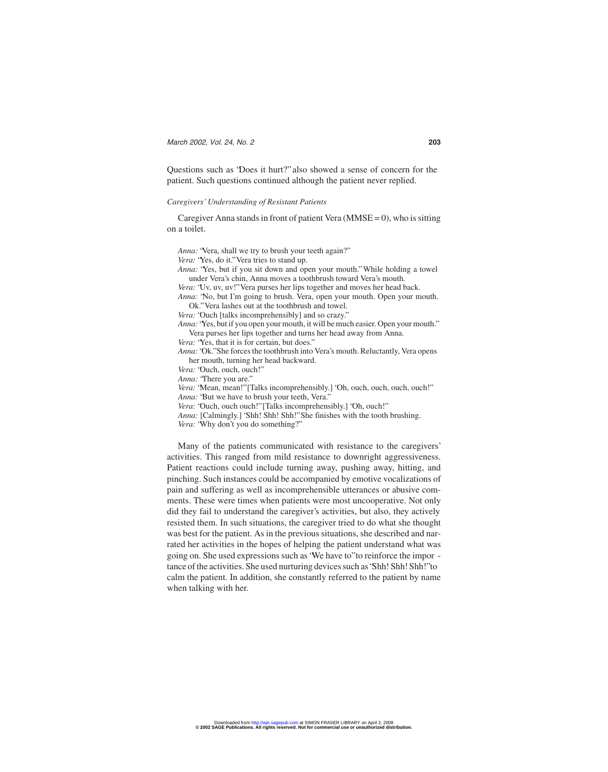Questions such as "Does it hurt?" also showed a sense of concern for the patient. Such questions continued although the patient never replied.

#### *Caregivers' Understanding of Resistant Patients*

Caregiver Anna stands in front of patient Vera  $(MMSE = 0)$ , who is sitting on a toilet.

*Anna:* "Vera, shall we try to brush your teeth again?"

*Vera:* "Yes, do it." Vera tries to stand up.

*Anna:* "Yes, but if you sit down and open your mouth." While holding a towel under Vera's chin, Anna moves a toothbrush toward Vera's mouth.

*Vera:* "Uv, uv, uv!" Vera purses her lips together and moves her head back.

*Anna:* "No, but I'm going to brush. Vera, open your mouth. Open your mouth. Ok." Vera lashes out at the toothbrush and towel.

*Vera:* "Ouch [talks incomprehensibly] and so crazy."

*Anna:*"Yes, but if you open your mouth, it will be much easier. Open your mouth." Vera purses her lips together and turns her head away from Anna.

*Vera:* "Yes, that it is for certain, but does."

*Anna:* "Ok." She forces the toothbrush into Vera's mouth. Reluctantly, Vera opens her mouth, turning her head backward.

*Vera:* "Ouch, ouch, ouch!"

*Anna:* "There you are."

*Vera:* 'Mean, mean!'' [Talks incomprehensibly.] 'Oh, ouch, ouch, ouch, ouch!'' *Anna:* "But we have to brush your teeth, Vera."

*Vera:* 'Ouch, ouch ouch!" [Talks incomprehensibly.] 'Oh, ouch!"

*Anna:* [Calmingly.] "Shh! Shh! Shh!" She finishes with the tooth brushing. *Vera:* "Why don't you do something?"

Many of the patients communicated with resistance to the caregivers' activities. This ranged from mild resistance to downright aggressiveness. Patient reactions could include turning away, pushing away, hitting, and pinching. Such instances could be accompanied by emotive vocalizations of pain and suffering as well as incomprehensible utterances or abusive comments. These were times when patients were most uncooperative. Not only did they fail to understand the caregiver's activities, but also, they actively resisted them. In such situations, the caregiver tried to do what she thought was best for the patient. As in the previous situations, she described and narrated her activities in the hopes of helping the patient understand what was going on. She used expressions such as "We have to" to reinforce the impor tance of the activities. She used nurturing devices such as "Shh! Shh! Shh!" to calm the patient. In addition, she constantly referred to the patient by name when talking with her.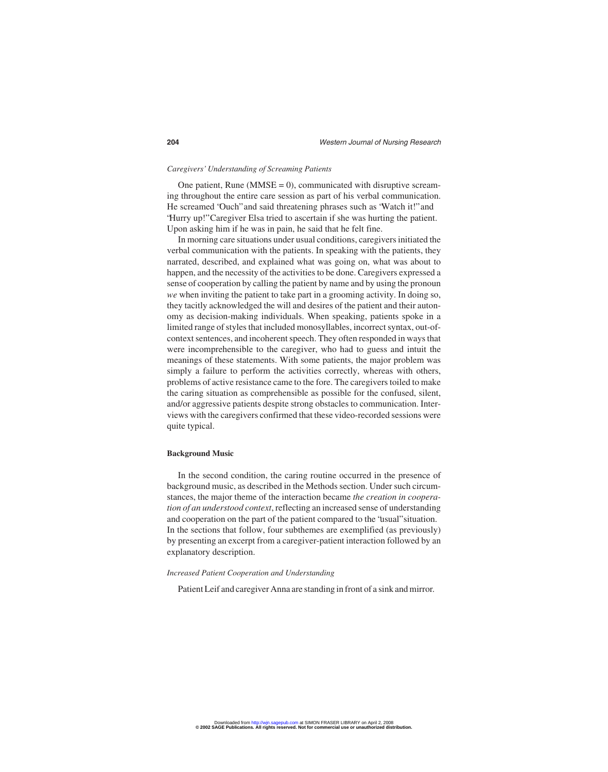#### *Caregivers' Understanding of Screaming Patients*

One patient, Rune  $(MMSE = 0)$ , communicated with disruptive screaming throughout the entire care session as part of his verbal communication. He screamed "Ouch" and said threatening phrases such as "Watch it!" and "Hurry up!" Caregiver Elsa tried to ascertain if she was hurting the patient. Upon asking him if he was in pain, he said that he felt fine.

In morning care situations under usual conditions, caregivers initiated the verbal communication with the patients. In speaking with the patients, they narrated, described, and explained what was going on, what was about to happen, and the necessity of the activities to be done. Caregivers expressed a sense of cooperation by calling the patient by name and by using the pronoun *we* when inviting the patient to take part in a grooming activity. In doing so, they tacitly acknowledged the will and desires of the patient and their autonomy as decision-making individuals. When speaking, patients spoke in a limited range of styles that included monosyllables, incorrect syntax, out-ofcontext sentences, and incoherent speech. They often responded in ways that were incomprehensible to the caregiver, who had to guess and intuit the meanings of these statements. With some patients, the major problem was simply a failure to perform the activities correctly, whereas with others, problems of active resistance came to the fore. The caregivers toiled to make the caring situation as comprehensible as possible for the confused, silent, and/or aggressive patients despite strong obstacles to communication. Interviews with the caregivers confirmed that these video-recorded sessions were quite typical.

#### **Background Music**

In the second condition, the caring routine occurred in the presence of background music, as described in the Methods section. Under such circumstances, the major theme of the interaction became *the creation in cooperation of an understood context*, reflecting an increased sense of understanding and cooperation on the part of the patient compared to the "usual" situation. In the sections that follow, four subthemes are exemplified (as previously) by presenting an excerpt from a caregiver-patient interaction followed by an explanatory description.

#### *Increased Patient Cooperation and Understanding*

Patient Leif and caregiver Anna are standing in front of a sink and mirror.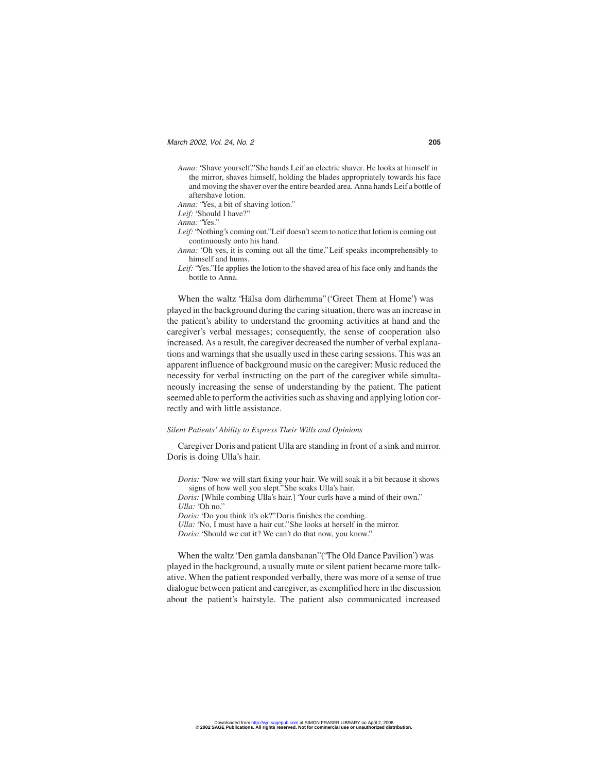- *Anna:* "Shave yourself." She hands Leif an electric shaver. He looks at himself in the mirror, shaves himself, holding the blades appropriately towards his face and moving the shaver over the entire bearded area. Anna hands Leif a bottle of aftershave lotion.
- *Anna:* "Yes, a bit of shaving lotion."

*Leif:* "Should I have?"

*Anna:* "Yes."

- *Leif:* "Nothing's coming out." Leif doesn't seem to notice that lotion is coming out continuously onto his hand.
- *Anna:* "Oh yes, it is coming out all the time." Leif speaks incomprehensibly to himself and hums.
- *Leif:* "Yes." He applies the lotion to the shaved area of his face only and hands the bottle to Anna.

When the waltz 'Hälsa dom därhemma'' ('Greet Them at Home') was played in the background during the caring situation, there was an increase in the patient's ability to understand the grooming activities at hand and the caregiver's verbal messages; consequently, the sense of cooperation also increased. As a result, the caregiver decreased the number of verbal explanations and warnings that she usually used in these caring sessions. This was an apparent influence of background music on the caregiver: Music reduced the necessity for verbal instructing on the part of the caregiver while simultaneously increasing the sense of understanding by the patient. The patient seemed able to perform the activities such as shaving and applying lotion correctly and with little assistance.

### *Silent Patients' Ability to Express Their Wills and Opinions*

Caregiver Doris and patient Ulla are standing in front of a sink and mirror. Doris is doing Ulla's hair.

*Doris:* "Now we will start fixing your hair. We will soak it a bit because it shows signs of how well you slept." She soaks Ulla's hair.

*Doris:* [While combing Ulla's hair.] "Your curls have a mind of their own." *Ulla:* "Oh no."

*Doris:* "Do you think it's ok?" Doris finishes the combing.

*Ulla:* "No, I must have a hair cut." She looks at herself in the mirror.

*Doris:* "Should we cut it? We can't do that now, you know."

When the waltz 'Den gamla dansbanan'' ('The Old Dance Pavilion') was played in the background, a usually mute or silent patient became more talkative. When the patient responded verbally, there was more of a sense of true dialogue between patient and caregiver, as exemplified here in the discussion about the patient's hairstyle. The patient also communicated increased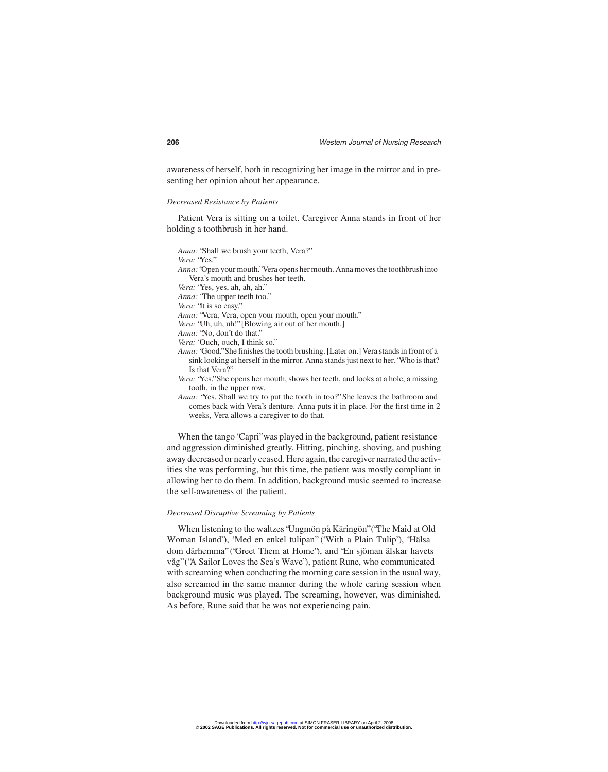awareness of herself, both in recognizing her image in the mirror and in presenting her opinion about her appearance.

#### *Decreased Resistance by Patients*

Patient Vera is sitting on a toilet. Caregiver Anna stands in front of her holding a toothbrush in her hand.

*Anna:* "Shall we brush your teeth, Vera?" *Vera:* "Yes." *Anna:*"Open your mouth." Vera opens her mouth. Anna moves the toothbrush into Vera's mouth and brushes her teeth. *Vera:* "Yes, yes, ah, ah, ah." *Anna:* "The upper teeth too." *Vera:* "It is so easy." *Anna:* "Vera, Vera, open your mouth, open your mouth." *Vera:* "Uh, uh, uh!" [Blowing air out of her mouth.] *Anna:* "No, don't do that." *Vera:* "Ouch, ouch, I think so." *Anna:*"Good." She finishes the tooth brushing. [Later on.] Vera stands in front of a sink looking at herself in the mirror. Anna stands just next to her. "Who is that? Is that Vera?" *Vera:* "Yes." She opens her mouth, shows her teeth, and looks at a hole, a missing tooth, in the upper row.

*Anna:* "Yes. Shall we try to put the tooth in too?" She leaves the bathroom and comes back with Vera's denture. Anna puts it in place. For the first time in 2 weeks, Vera allows a caregiver to do that.

When the tango 'Capri'' was played in the background, patient resistance and aggression diminished greatly. Hitting, pinching, shoving, and pushing away decreased or nearly ceased. Here again, the caregiver narrated the activities she was performing, but this time, the patient was mostly compliant in allowing her to do them. In addition, background music seemed to increase the self-awareness of the patient.

#### *Decreased Disruptive Screaming by Patients*

When listening to the waltzes "Ungmön på Käringön" ("The Maid at Old Woman Island"), "Med en enkel tulipan" ("With a Plain Tulip"), "Hälsa dom därhemma" ("Greet Them at Home"), and "En sjöman älskar havets våg" ("A Sailor Loves the Sea's Wave"), patient Rune, who communicated with screaming when conducting the morning care session in the usual way, also screamed in the same manner during the whole caring session when background music was played. The screaming, however, was diminished. As before, Rune said that he was not experiencing pain.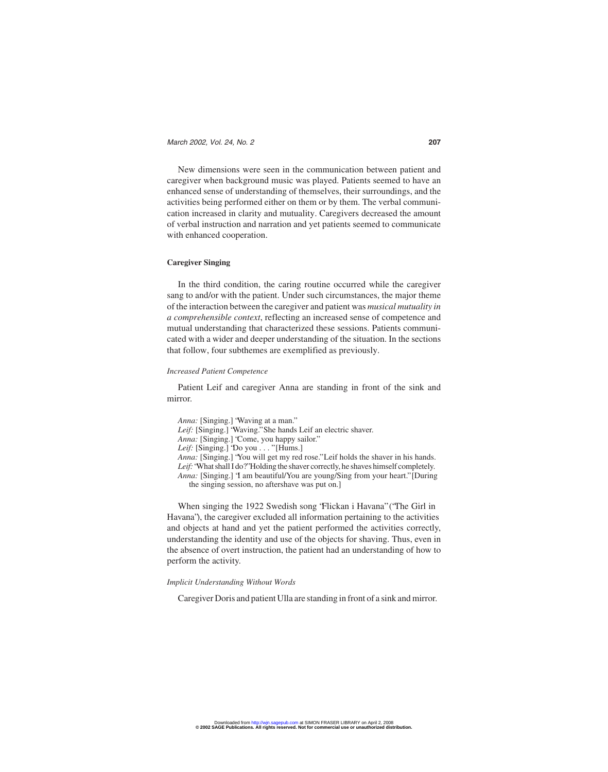New dimensions were seen in the communication between patient and caregiver when background music was played. Patients seemed to have an enhanced sense of understanding of themselves, their surroundings, and the activities being performed either on them or by them. The verbal communication increased in clarity and mutuality. Caregivers decreased the amount of verbal instruction and narration and yet patients seemed to communicate with enhanced cooperation.

#### **Caregiver Singing**

In the third condition, the caring routine occurred while the caregiver sang to and/or with the patient. Under such circumstances, the major theme of the interaction between the caregiver and patient was *musical mutuality in a comprehensible context*, reflecting an increased sense of competence and mutual understanding that characterized these sessions. Patients communicated with a wider and deeper understanding of the situation. In the sections that follow, four subthemes are exemplified as previously.

#### *Increased Patient Competence*

Patient Leif and caregiver Anna are standing in front of the sink and mirror.

*Anna:* [Singing.] "Waving at a man." *Leif:* [Singing.] "Waving." She hands Leif an electric shaver. *Anna:* [Singing.] 'Come, you happy sailor." *Leif:* [Singing.] 'Do you . . . "[Hums.] *Anna:* [Singing.] "You will get my red rose." Leif holds the shaver in his hands. Leif: 'What shall I do?''Holding the shaver correctly, he shaves himself completely. *Anna:* [Singing.] "I am beautiful/You are young/Sing from your heart." [During the singing session, no aftershave was put on.]

When singing the 1922 Swedish song "Flickan i Havana" ("The Girl in Havana"), the caregiver excluded all information pertaining to the activities and objects at hand and yet the patient performed the activities correctly, understanding the identity and use of the objects for shaving. Thus, even in the absence of overt instruction, the patient had an understanding of how to perform the activity.

#### *Implicit Understanding Without Words*

Caregiver Doris and patient Ulla are standing in front of a sink and mirror.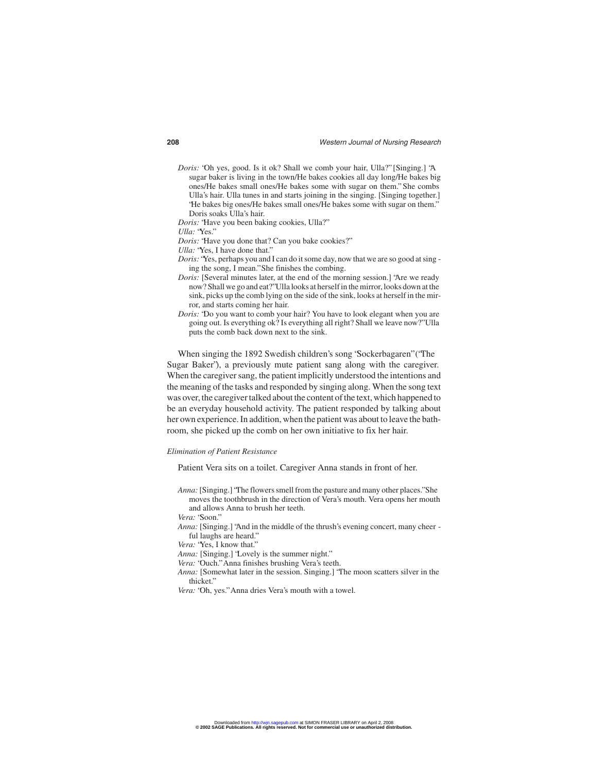- *Doris:* 'Oh yes, good. Is it ok? Shall we comb your hair, Ulla?" [Singing.] 'A sugar baker is living in the town/He bakes cookies all day long/He bakes big ones/He bakes small ones/He bakes some with sugar on them." She combs Ulla's hair. Ulla tunes in and starts joining in the singing. [Singing together.] "He bakes big ones/He bakes small ones/He bakes some with sugar on them." Doris soaks Ulla's hair.
- *Doris:* "Have you been baking cookies, Ulla?"
- *Ulla:* "Yes."
- *Doris:* "Have you done that? Can you bake cookies?"
- *Ulla:* "Yes, I have done that."
- *Doris:*"Yes, perhaps you and I can do it some day, now that we are so good at sing ing the song, I mean." She finishes the combing.
- *Doris:* [Several minutes later, at the end of the morning session.] "Are we ready now? Shall we go and eat?" Ulla looks at herself in the mirror, looks down at the sink, picks up the comb lying on the side of the sink, looks at herself in the mirror, and starts coming her hair.
- *Doris:* "Do you want to comb your hair? You have to look elegant when you are going out. Is everything ok? Is everything all right? Shall we leave now?" Ulla puts the comb back down next to the sink.

When singing the 1892 Swedish children's song 'Sockerbagaren'' ('The Sugar Baker"), a previously mute patient sang along with the caregiver. When the caregiver sang, the patient implicitly understood the intentions and the meaning of the tasks and responded by singing along. When the song text was over, the caregiver talked about the content of the text, which happened to be an everyday household activity. The patient responded by talking about her own experience. In addition, when the patient was about to leave the bathroom, she picked up the comb on her own initiative to fix her hair.

#### *Elimination of Patient Resistance*

Patient Vera sits on a toilet. Caregiver Anna stands in front of her.

*Anna*: [Singing.] 'The flowers smell from the pasture and many other places.''She moves the toothbrush in the direction of Vera's mouth. Vera opens her mouth and allows Anna to brush her teeth.

*Vera:* "Soon."

*Anna:* [Singing.] "And in the middle of the thrush's evening concert, many cheer ful laughs are heard."

*Vera:* "Yes, I know that."

*Anna:* [Singing.] 'Lovely is the summer night."

*Vera:* "Ouch." Anna finishes brushing Vera's teeth.

- *Anna:* [Somewhat later in the session. Singing.] "The moon scatters silver in the thicket"
- *Vera:* "Oh, yes." Anna dries Vera's mouth with a towel.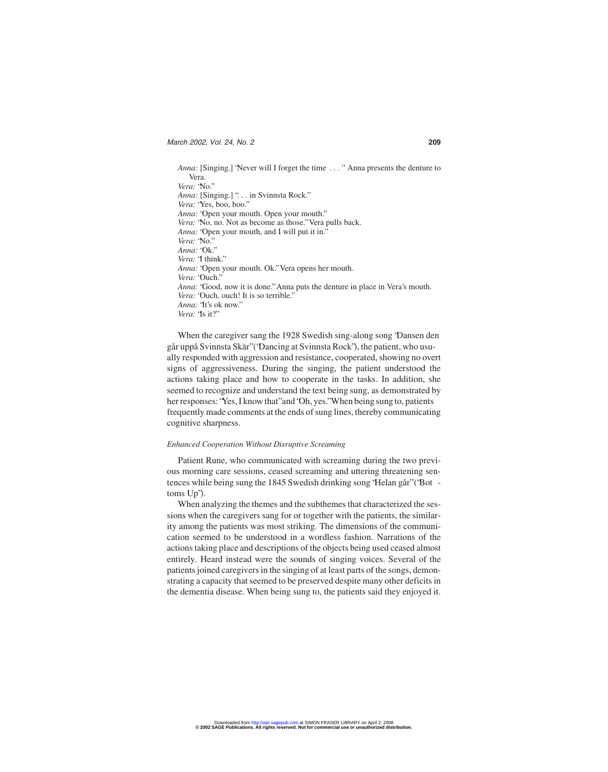*Anna:* [Singing.] "Never will I forget the time ..." Anna presents the denture to Vera. *Vera:* "No." *Anna:* [Singing.] ". . . in Svinnsta Rock." *Vera:* "Yes, boo, boo." *Anna:* "Open your mouth. Open your mouth." *Vera:* "No, no. Not as become as those." Vera pulls back. *Anna:* "Open your mouth, and I will put it in." *Vera:* "No." *Anna:* "Ok." *Vera:* "I think." *Anna:* "Open your mouth. Ok." Vera opens her mouth. *Vera:* "Ouch." *Anna:* "Good, now it is done." Anna puts the denture in place in Vera's mouth. *Vera:* "Ouch, ouch! It is so terrible." *Anna:* "It's ok now." *Vera:* "Is it?"

When the caregiver sang the 1928 Swedish sing-along song "Dansen den går uppå Svinnsta Skär" ("Dancing at Svinnsta Rock"), the patient, who usually responded with aggression and resistance, cooperated, showing no overt signs of aggressiveness. During the singing, the patient understood the actions taking place and how to cooperate in the tasks. In addition, she seemed to recognize and understand the text being sung, as demonstrated by her responses: "Yes, I know that" and 'Oh, yes." When being sung to, patients frequently made comments at the ends of sung lines, thereby communicating cognitive sharpness.

#### *Enhanced Cooperation Without Disruptive Screaming*

Patient Rune, who communicated with screaming during the two previous morning care sessions, ceased screaming and uttering threatening sentences while being sung the 1845 Swedish drinking song "Helan går" ("Bot toms Up").

When analyzing the themes and the subthemes that characterized the sessions when the caregivers sang for or together with the patients, the similarity among the patients was most striking. The dimensions of the communication seemed to be understood in a wordless fashion. Narrations of the actions taking place and descriptions of the objects being used ceased almost entirely. Heard instead were the sounds of singing voices. Several of the patients joined caregivers in the singing of at least parts of the songs, demonstrating a capacity that seemed to be preserved despite many other deficits in the dementia disease. When being sung to, the patients said they enjoyed it.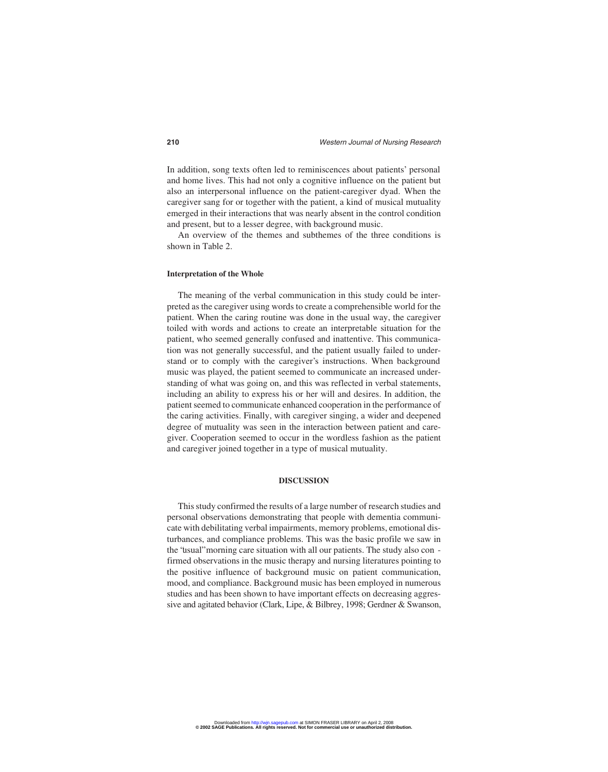In addition, song texts often led to reminiscences about patients' personal and home lives. This had not only a cognitive influence on the patient but also an interpersonal influence on the patient-caregiver dyad. When the caregiver sang for or together with the patient, a kind of musical mutuality emerged in their interactions that was nearly absent in the control condition and present, but to a lesser degree, with background music.

An overview of the themes and subthemes of the three conditions is shown in Table 2.

#### **Interpretation of the Whole**

The meaning of the verbal communication in this study could be interpreted as the caregiver using words to create a comprehensible world for the patient. When the caring routine was done in the usual way, the caregiver toiled with words and actions to create an interpretable situation for the patient, who seemed generally confused and inattentive. This communication was not generally successful, and the patient usually failed to understand or to comply with the caregiver's instructions. When background music was played, the patient seemed to communicate an increased understanding of what was going on, and this was reflected in verbal statements, including an ability to express his or her will and desires. In addition, the patient seemed to communicate enhanced cooperation in the performance of the caring activities. Finally, with caregiver singing, a wider and deepened degree of mutuality was seen in the interaction between patient and caregiver. Cooperation seemed to occur in the wordless fashion as the patient and caregiver joined together in a type of musical mutuality.

### **DISCUSSION**

This study confirmed the results of a large number of research studies and personal observations demonstrating that people with dementia communicate with debilitating verbal impairments, memory problems, emotional disturbances, and compliance problems. This was the basic profile we saw in the "usual" morning care situation with all our patients. The study also con firmed observations in the music therapy and nursing literatures pointing to the positive influence of background music on patient communication, mood, and compliance. Background music has been employed in numerous studies and has been shown to have important effects on decreasing aggressive and agitated behavior (Clark, Lipe, & Bilbrey, 1998; Gerdner & Swanson,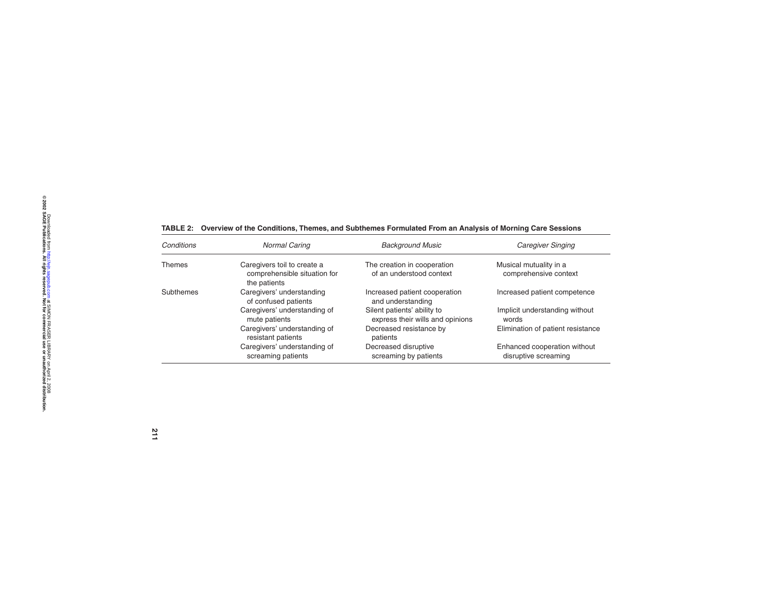**TABLE 2: Overview of the Conditions, Themes, and Subthemes Formulated From an Analysis of Morning Care Sessions**

| Conditions    | <b>Normal Caring</b>                                                        | <b>Background Music</b>                                         | <b>Caregiver Singing</b>                             |
|---------------|-----------------------------------------------------------------------------|-----------------------------------------------------------------|------------------------------------------------------|
| <b>Themes</b> | Caregivers toil to create a<br>comprehensible situation for<br>the patients | The creation in cooperation<br>of an understood context         | Musical mutuality in a<br>comprehensive context      |
| Subthemes     | Caregivers' understanding<br>of confused patients                           | Increased patient cooperation<br>and understanding              | Increased patient competence                         |
|               | Caregivers' understanding of<br>mute patients                               | Silent patients' ability to<br>express their wills and opinions | Implicit understanding without<br>words              |
|               | Caregivers' understanding of<br>resistant patients                          | Decreased resistance by<br>patients                             | Elimination of patient resistance                    |
|               | Caregivers' understanding of<br>screaming patients                          | Decreased disruptive<br>screaming by patients                   | Enhanced cooperation without<br>disruptive screaming |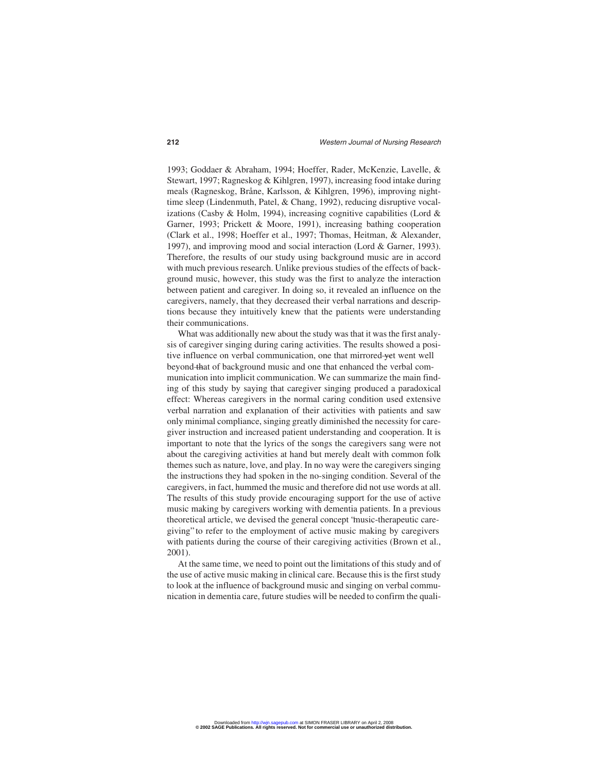1993; Goddaer & Abraham, 1994; Hoeffer, Rader, McKenzie, Lavelle, & Stewart, 1997; Ragneskog & Kihlgren, 1997), increasing food intake during meals (Ragneskog, Bråne, Karlsson, & Kihlgren, 1996), improving nighttime sleep (Lindenmuth, Patel, & Chang, 1992), reducing disruptive vocalizations (Casby & Holm, 1994), increasing cognitive capabilities (Lord  $\&$ Garner, 1993; Prickett & Moore, 1991), increasing bathing cooperation (Clark et al., 1998; Hoeffer et al., 1997; Thomas, Heitman, & Alexander, 1997), and improving mood and social interaction (Lord & Garner, 1993). Therefore, the results of our study using background music are in accord with much previous research. Unlike previous studies of the effects of background music, however, this study was the first to analyze the interaction between patient and caregiver. In doing so, it revealed an influence on the caregivers, namely, that they decreased their verbal narrations and descriptions because they intuitively knew that the patients were understanding their communications.

What was additionally new about the study was that it was the first analysis of caregiver singing during caring activities. The results showed a positive influence on verbal communication, one that mirrored-yet went well beyond—that of background music and one that enhanced the verbal communication into implicit communication. We can summarize the main finding of this study by saying that caregiver singing produced a paradoxical effect: Whereas caregivers in the normal caring condition used extensive verbal narration and explanation of their activities with patients and saw only minimal compliance, singing greatly diminished the necessity for caregiver instruction and increased patient understanding and cooperation. It is important to note that the lyrics of the songs the caregivers sang were not about the caregiving activities at hand but merely dealt with common folk themes such as nature, love, and play. In no way were the caregivers singing the instructions they had spoken in the no-singing condition. Several of the caregivers, in fact, hummed the music and therefore did not use words at all. The results of this study provide encouraging support for the use of active music making by caregivers working with dementia patients. In a previous theoretical article, we devised the general concept "music-therapeutic caregiving" to refer to the employment of active music making by caregivers with patients during the course of their caregiving activities (Brown et al., 2001).

At the same time, we need to point out the limitations of this study and of the use of active music making in clinical care. Because this is the first study to look at the influence of background music and singing on verbal communication in dementia care, future studies will be needed to confirm the quali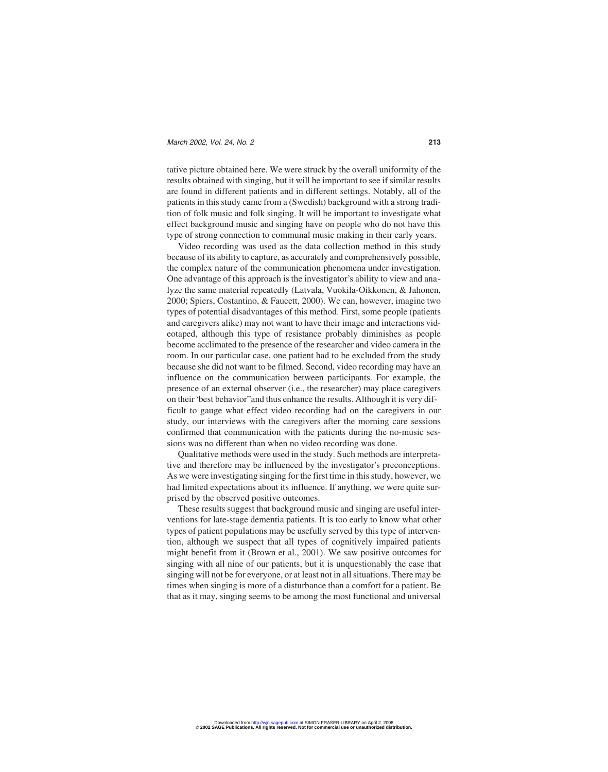tative picture obtained here. We were struck by the overall uniformity of the results obtained with singing, but it will be important to see if similar results are found in different patients and in different settings. Notably, all of the patients in this study came from a (Swedish) background with a strong tradition of folk music and folk singing. It will be important to investigate what effect background music and singing have on people who do not have this type of strong connection to communal music making in their early years.

Video recording was used as the data collection method in this study because of its ability to capture, as accurately and comprehensively possible, the complex nature of the communication phenomena under investigation. One advantage of this approach is the investigator's ability to view and analyze the same material repeatedly (Latvala, Vuokila-Oikkonen, & Jahonen, 2000; Spiers, Costantino, & Faucett, 2000). We can, however, imagine two types of potential disadvantages of this method. First, some people (patients and caregivers alike) may not want to have their image and interactions videotaped, although this type of resistance probably diminishes as people become acclimated to the presence of the researcher and video camera in the room. In our particular case, one patient had to be excluded from the study because she did not want to be filmed. Second, video recording may have an influence on the communication between participants. For example, the presence of an external observer (i.e., the researcher) may place caregivers on their "best behavior" and thus enhance the results. Although it is very difficult to gauge what effect video recording had on the caregivers in our study, our interviews with the caregivers after the morning care sessions confirmed that communication with the patients during the no-music sessions was no different than when no video recording was done.

Qualitative methods were used in the study. Such methods are interpretative and therefore may be influenced by the investigator's preconceptions. As we were investigating singing for the first time in this study, however, we had limited expectations about its influence. If anything, we were quite surprised by the observed positive outcomes.

These results suggest that background music and singing are useful interventions for late-stage dementia patients. It is too early to know what other types of patient populations may be usefully served by this type of intervention, although we suspect that all types of cognitively impaired patients might benefit from it (Brown et al., 2001). We saw positive outcomes for singing with all nine of our patients, but it is unquestionably the case that singing will not be for everyone, or at least not in all situations. There may be times when singing is more of a disturbance than a comfort for a patient. Be that as it may, singing seems to be among the most functional and universal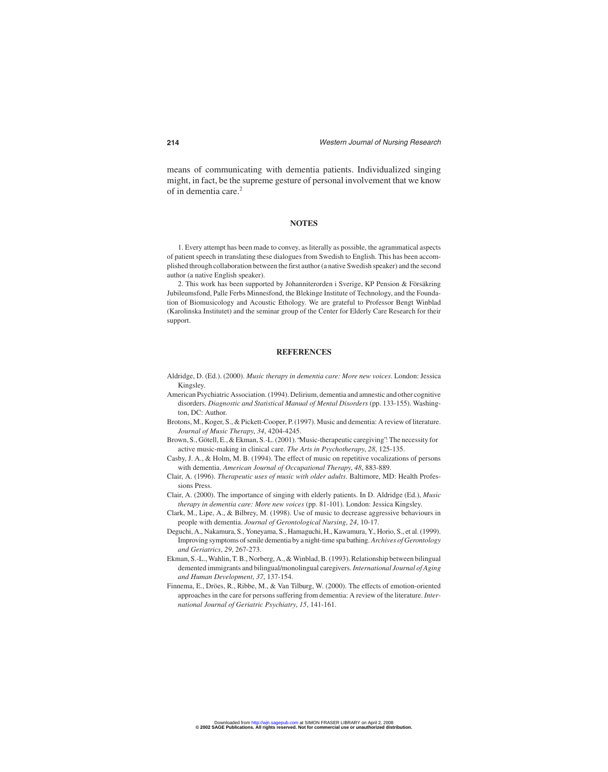means of communicating with dementia patients. Individualized singing might, in fact, be the supreme gesture of personal involvement that we know of in dementia care.2

#### **NOTES**

1. Every attempt has been made to convey, as literally as possible, the agrammatical aspects of patient speech in translating these dialogues from Swedish to English. This has been accomplished through collaboration between the first author (a native Swedish speaker) and the second author (a native English speaker).

2. This work has been supported by Johanniterorden i Sverige, KP Pension & Försäkring Jubileumsfond, Palle Ferbs Minnesfond, the Blekinge Institute of Technology, and the Foundation of Biomusicology and Acoustic Ethology. We are grateful to Professor Bengt Winblad (Karolinska Institutet) and the seminar group of the Center for Elderly Care Research for their support.

#### **REFERENCES**

- Aldridge, D. (Ed.). (2000). *Music therapy in dementia care: More new voices*. London: Jessica Kingsley.
- American Psychiatric Association. (1994). Delirium, dementia and amnestic and other cognitive disorders. *Diagnostic and Statistical Manual of Mental Disorders* (pp. 133-155). Washington, DC: Author.
- Brotons, M., Koger, S., & Pickett-Cooper, P. (1997). Music and dementia: A review of literature. *Journal of Music Therapy*, *34*, 4204-4245.
- Brown, S., Götell, E., & Ekman, S.-L. (2001). "Music-therapeutic caregiving": The necessity for active music-making in clinical care. *The Arts in Psychotherapy*, *28*, 125-135.
- Casby, J. A., & Holm, M. B. (1994). The effect of music on repetitive vocalizations of persons with dementia. *American Journal of Occupational Therapy*, *48*, 883-889.
- Clair, A. (1996). *Therapeutic uses of music with older adults*. Baltimore, MD: Health Professions Press.
- Clair, A. (2000). The importance of singing with elderly patients. In D. Aldridge (Ed.), *Music therapy in dementia care: More new voices* (pp. 81-101). London: Jessica Kingsley.
- Clark, M., Lipe, A., & Bilbrey, M. (1998). Use of music to decrease aggressive behaviours in people with dementia. *Journal of Gerontological Nursing*, *24*, 10-17.
- Deguchi, A., Nakamura, S., Yoneyama, S., Hamaguchi, H., Kawamura, Y., Horio, S., et al. (1999). Improving symptoms of senile dementia by a night-time spa bathing. *Archives of Gerontology and Geriatrics*, *29*, 267-273.
- Ekman, S.-L., Wahlin, T. B., Norberg, A., & Winblad, B. (1993). Relationship between bilingual demented immigrants and bilingual/monolingual caregivers. *International Journal of Aging and Human Development*, *37*, 137-154.
- Finnema, E., Dröes, R., Ribbe, M., & Van Tilburg, W. (2000). The effects of emotion-oriented approaches in the care for persons suffering from dementia: A review of the literature. *International Journal of Geriatric Psychiatry*, *15*, 141-161.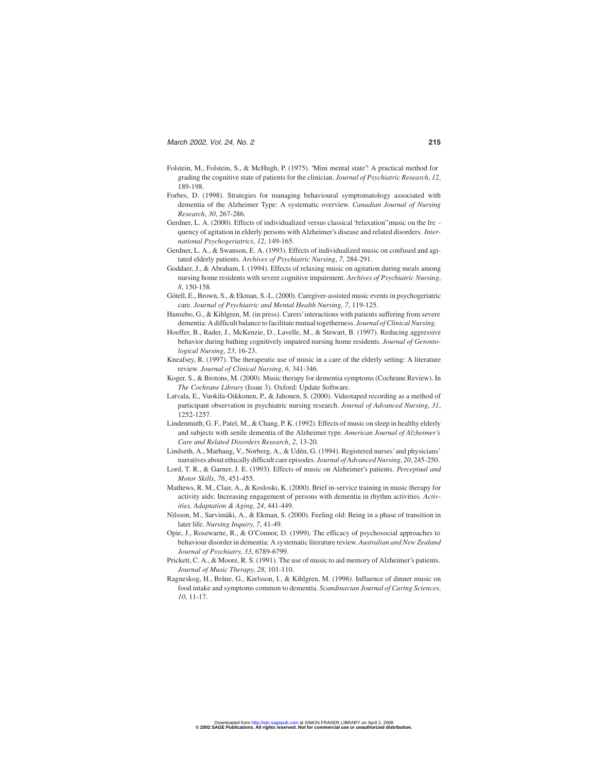- Folstein, M., Folstein, S., & McHugh, P. (1975). "Mini mental state": A practical method for grading the cognitive state of patients for the clinician. *Journal of Psychiatric Research*, *12*, 189-198.
- Forbes, D. (1998). Strategies for managing behavioural symptomatology associated with dementia of the Alzheimer Type: A systematic overview. *Canadian Journal of Nursing Research*, *30*, 267-286.
- Gerdner, L. A. (2000). Effects of individualized versus classical 'telaxation' music on the fre quency of agitation in elderly persons with Alzheimer's disease and related disorders. *International Psychogeriatrics*, *12*, 149-165.
- Gerdner, L. A., & Swanson, E. A. (1993). Effects of individualized music on confused and agitated elderly patients. *Archives of Psychiatric Nursing*, *7*, 284-291.
- Goddaer, J., & Abraham, I. (1994). Effects of relaxing music on agitation during meals among nursing home residents with severe cognitive impairment. *Archives of Psychiatric Nursing*, *8*, 150-158.
- Götell, E., Brown, S., & Ekman, S.-L. (2000). Caregiver-assisted music events in psychogeriatric care. *Journal of Psychiatric and Mental Health Nursing*, *7*, 119-125.
- Hansebo, G., & Kihlgren, M. (in press). Carers'interactions with patients suffering from severe dementia: A difficult balance to facilitate mutual togetherness. *Journal of Clinical Nursing*.
- Hoeffer, B., Rader, J., McKenzie, D., Lavelle, M., & Stewart, B. (1997). Reducing aggressive behavior during bathing cognitively impaired nursing home residents. *Journal of Gerontological Nursing*, *23*, 16-23.
- Kneafsey, R. (1997). The therapeutic use of music in a care of the elderly setting: A literature review. *Journal of Clinical Nursing*, *6*, 341-346.
- Koger, S., & Brotons, M. (2000). Music therapy for dementia symptoms (Cochrane Review). In *The Cochrane Library* (Issue 3). Oxford: Update Software.
- Latvala, E., Vuokila-Oikkonen, P., & Jahonen, S. (2000). Videotaped recording as a method of participant observation in psychiatric nursing research. *Journal of Advanced Nursing*, *31*, 1252-1257.
- Lindenmuth, G. F., Patel, M., & Chang, P. K. (1992). Effects of music on sleep in healthy elderly and subjects with senile dementia of the Alzheimer type. *American Journal of Alzheimer's Care and Related Disorders Research*, *2*, 13-20.
- Lindseth, A., Marhaug, V., Norberg, A., & Udén, G. (1994). Registered nurses' and physicians' narratives about ethically difficult care episodes. *Journal of Advanced Nursing*, *20*, 245-250.
- Lord, T. R., & Garner, J. E. (1993). Effects of music on Alzheimer's patients. *Perceptual and Motor Skills*, *76*, 451-455.
- Mathews, R. M., Clair, A., & Kosloski, K. (2000). Brief in-service training in music therapy for activity aids: Increasing engagement of persons with dementia in rhythm activities. *Activities, Adaptation & Aging*, *24*, 441-449.
- Nilsson, M., Sarvimäki, A., & Ekman, S. (2000). Feeling old: Being in a phase of transition in later life. *Nursing Inquiry*, *7*, 41-49.
- Opie, J., Rosewarne, R., & O'Connor, D. (1999). The efficacy of psychosocial approaches to behaviour disorder in dementia: A systematic literature review. *Australian and New Zealand Journal of Psychiatry*, *33*, 6789-6799.
- Prickett, C. A., & Moore, R. S. (1991). The use of music to aid memory of Alzheimer's patients. *Journal of Music Therapy*, *28*, 101-110.
- Ragneskog, H., Bråne, G., Karlsson, I., & Kihlgren, M. (1996). Influence of dinner music on food intake and symptoms common to dementia. *Scandinavian Journal of Caring Sciences*, *10*, 11-17.